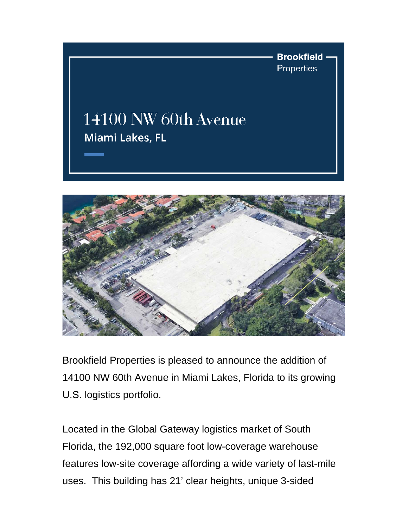



Brookfield Properties is pleased to announce the addition of 14100 NW 60th Avenue in Miami Lakes, Florida to its growing U.S. logistics portfolio.

Located in the Global Gateway logistics market of South Florida, the 192,000 square foot low-coverage warehouse features low-site coverage affording a wide variety of last-mile uses. This building has 21' clear heights, unique 3-sided